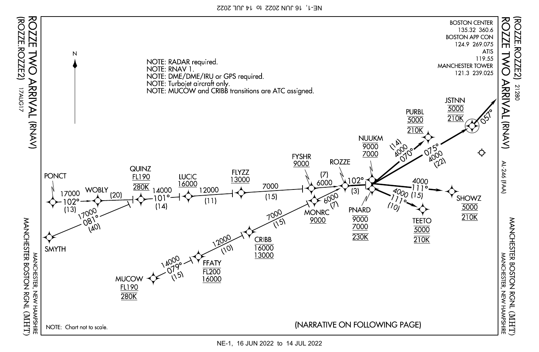NE-1, 16 JUN 2022 to 14 JUL 2022



NE-1, 16 JUN 2022 to 14 JUL 2022